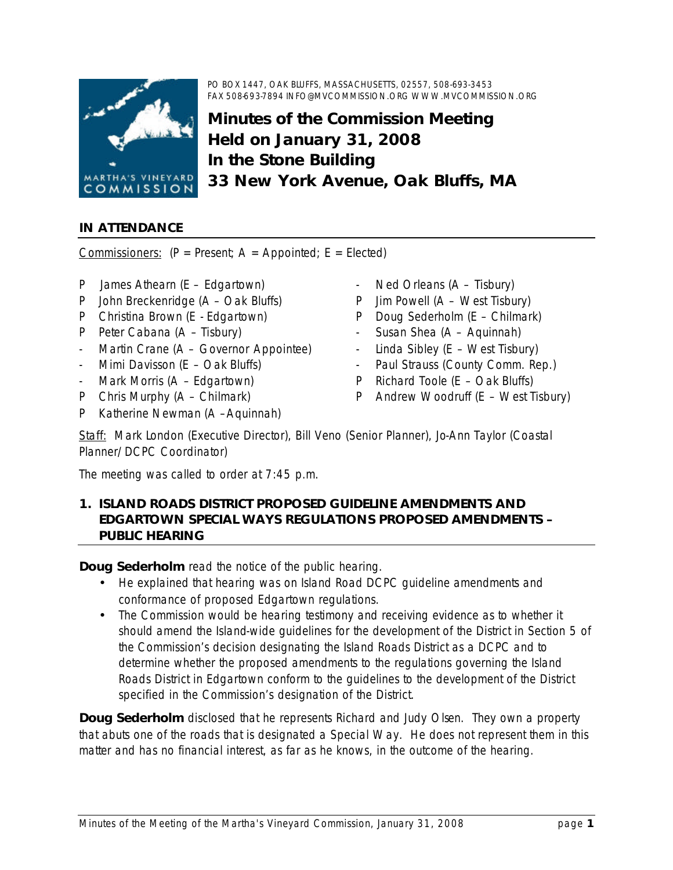

# **Minutes of the Commission Meeting Held on January 31, 2008 In the Stone Building 33 New York Avenue, Oak Bluffs, MA**

## **IN ATTENDANCE**

Commissioners:  $(P = Present; A = Appointed; E = Elected)$ 

- P James Athearn (E Edgartown)
- P John Breckenridge (A Oak Bluffs)
- P Christina Brown (E Edgartown)
- P Peter Cabana (A Tisbury)
- Martin Crane (A Governor Appointee)
- Mimi Davisson (E Oak Bluffs)
- Mark Morris (A Edgartown)
- P Chris Murphy (A Chilmark)
- P Katherine Newman (A –Aquinnah)
- Ned Orleans (A Tisbury)
- P Jim Powell (A West Tisbury)
- P Doug Sederholm (E Chilmark)
- Susan Shea (A Aquinnah)
- Linda Sibley ( $E West$  Tisbury)
- Paul Strauss (County Comm. Rep.)
- P Richard Toole (E Oak Bluffs)
- P Andrew Woodruff (E West Tisbury)

Staff: Mark London (Executive Director), Bill Veno (Senior Planner), Jo-Ann Taylor (Coastal Planner/DCPC Coordinator)

The meeting was called to order at 7:45 p.m.

### **1. ISLAND ROADS DISTRICT PROPOSED GUIDELINE AMENDMENTS AND EDGARTOWN SPECIAL WAYS REGULATIONS PROPOSED AMENDMENTS – PUBLIC HEARING**

**Doug Sederholm** read the notice of the public hearing.

- He explained that hearing was on Island Road DCPC guideline amendments and conformance of proposed Edgartown regulations.
- The Commission would be hearing testimony and receiving evidence as to whether it should amend the Island-wide guidelines for the development of the District in Section 5 of the Commission's decision designating the Island Roads District as a DCPC and to determine whether the proposed amendments to the regulations governing the Island Roads District in Edgartown conform to the guidelines to the development of the District specified in the Commission's designation of the District.

**Doug Sederholm** disclosed that he represents Richard and Judy Olsen. They own a property that abuts one of the roads that is designated a Special Way. He does not represent them in this matter and has no financial interest, as far as he knows, in the outcome of the hearing.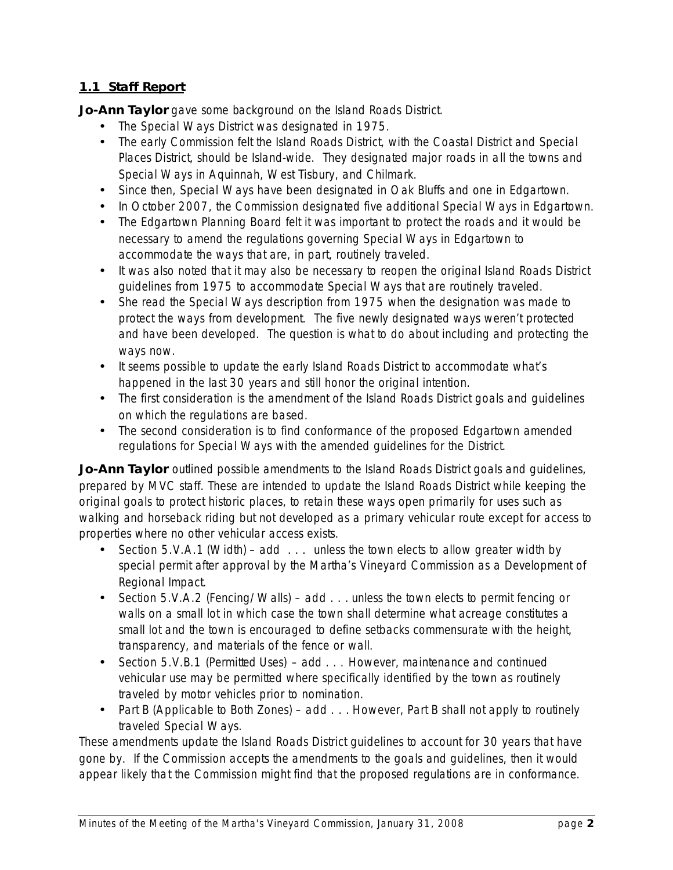## **1.1 Staff Report**

**Jo-Ann Taylor** gave some background on the Island Roads District.

- The Special Ways District was designated in 1975.
- The early Commission felt the Island Roads District, with the Coastal District and Special Places District, should be Island-wide. They designated major roads in all the towns and Special Ways in Aquinnah, West Tisbury, and Chilmark.
- Since then, Special Ways have been designated in Oak Bluffs and one in Edgartown.
- In October 2007, the Commission designated five additional Special Ways in Edgartown.
- The Edgartown Planning Board felt it was important to protect the roads and it would be necessary to amend the regulations governing Special Ways in Edgartown to accommodate the ways that are, in part, routinely traveled.
- It was also noted that it may also be necessary to reopen the original Island Roads District guidelines from 1975 to accommodate Special Ways that are routinely traveled.
- She read the Special Ways description from 1975 when the designation was made to protect the ways from development. The five newly designated ways weren't protected and have been developed. The question is what to do about including and protecting the ways now.
- It seems possible to update the early Island Roads District to accommodate what's happened in the last 30 years and still honor the original intention.
- The first consideration is the amendment of the Island Roads District goals and guidelines on which the regulations are based.
- The second consideration is to find conformance of the proposed Edgartown amended regulations for Special Ways with the amended guidelines for the District.

**Jo-Ann Taylor** outlined possible amendments to the Island Roads District goals and guidelines, prepared by MVC staff. These are intended to update the Island Roads District while keeping the original goals to protect historic places, to retain these ways open primarily for uses such as walking and horseback riding but not developed as a primary vehicular route except for access to properties where no other vehicular access exists.

- Section 5.V.A.1 (Width) add . . . *unless the town elects to allow greater width by special permit after approval by the Martha's Vineyard Commission as a Development of Regional Impact.*
- Section 5.V.A.2 (Fencing/Walls) add . . . *unless the town elects to permit fencing or walls on a small lot in which case the town shall determine what acreage constitutes a small lot and the town is encouraged to define setbacks commensurate with the height, transparency, and materials of the fence or wall.*
- Section 5.V.B.1 (Permitted Uses) add . . . *However, maintenance and continued vehicular use may be permitted where specifically identified by the town as routinely traveled by motor vehicles prior to nomination.*
- Part B (Applicable to Both Zones) add . . . *However, Part B shall not apply to routinely traveled Special Ways.*

These amendments update the Island Roads District guidelines to account for 30 years that have gone by. If the Commission accepts the amendments to the goals and guidelines, then it would appear likely that the Commission might find that the proposed regulations are in conformance.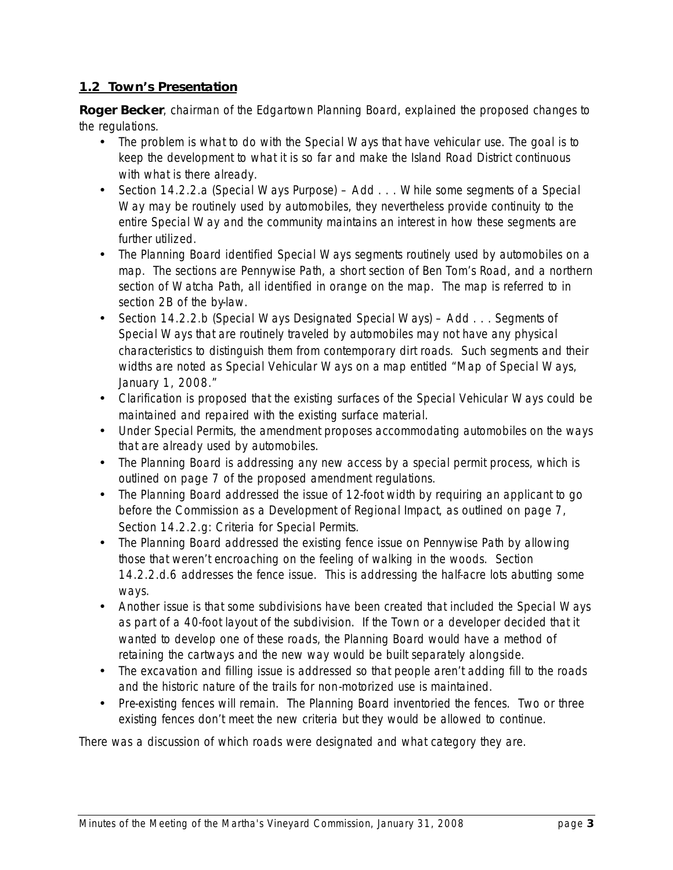### **1.2 Town's Presentation**

**Roger Becker**, chairman of the Edgartown Planning Board, explained the proposed changes to the regulations.

- The problem is what to do with the Special Ways that have vehicular use. The goal is to keep the development to what it is so far and make the Island Road District continuous with what is there already.
- Section 14.2.2.a (Special Ways Purpose) Add . . . *While some segments of a Special Way may be routinely used by automobiles, they nevertheless provide continuity to the entire Special Way and the community maintains an interest in how these segments are further utilized.*
- The Planning Board identified Special Ways segments routinely used by automobiles on a map. The sections are Pennywise Path, a short section of Ben Tom's Road, and a northern section of Watcha Path, all identified in orange on the map. The map is referred to in section 2B of the bylaw.
- Section 14.2.2.b (Special Ways Designated Special Ways) Add . . . *Segments of Special Ways that are routinely traveled by automobiles may not have any physical characteristics to distinguish them from contemporary dirt roads. Such segments and their widths are noted as Special Vehicular Ways on a map entitled "Map of Special Ways, January 1, 2008."*
- Clarification is proposed that the existing surfaces of the Special Vehicular Ways could be maintained and repaired with the existing surface material.
- Under Special Permits, the amendment proposes accommodating automobiles on the ways that are already used by automobiles.
- The Planning Board is addressing any new access by a special permit process, which is outlined on page 7 of the proposed amendment regulations.
- The Planning Board addressed the issue of 12-foot width by requiring an applicant to go before the Commission as a Development of Regional Impact, as outlined on page 7, Section 14.2.2.g: Criteria for Special Permits.
- The Planning Board addressed the existing fence issue on Pennywise Path by allowing those that weren't encroaching on the feeling of walking in the woods. Section 14.2.2.d.6 addresses the fence issue. This is addressing the half-acre lots abutting some ways.
- Another issue is that some subdivisions have been created that included the Special Ways as part of a 40-foot layout of the subdivision. If the Town or a developer decided that it wanted to develop one of these roads, the Planning Board would have a method of retaining the cartways and the new way would be built separately alongside.
- The excavation and filling issue is addressed so that people aren't adding fill to the roads and the historic nature of the trails for non-motorized use is maintained.
- Pre-existing fences will remain. The Planning Board inventoried the fences. Two or three existing fences don't meet the new criteria but they would be allowed to continue.

There was a discussion of which roads were designated and what category they are.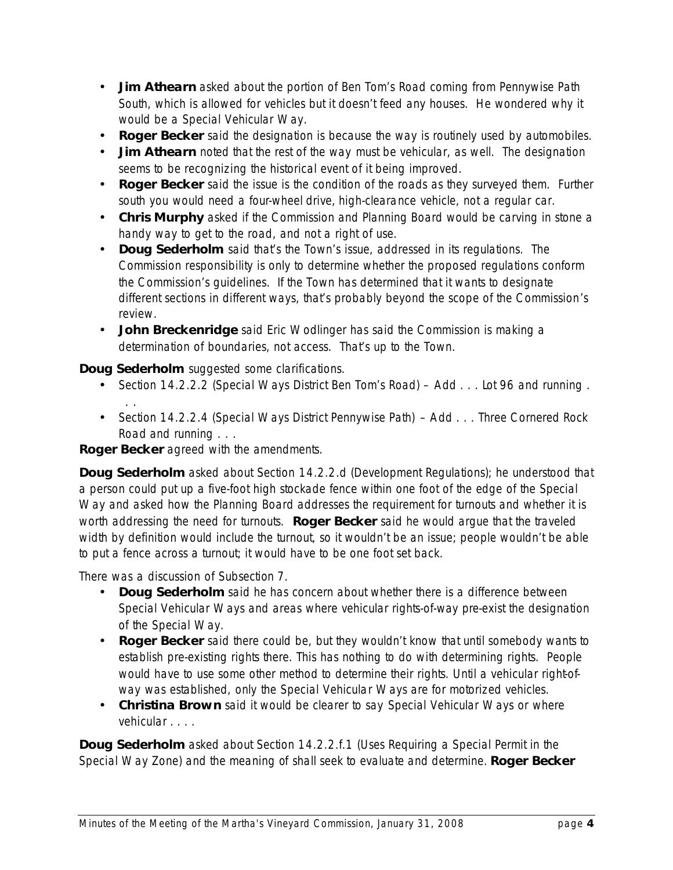- **Jim Athearn** asked about the portion of Ben Tom's Road coming from Pennywise Path South, which is allowed for vehicles but it doesn't feed any houses. He wondered why it would be a Special Vehicular Way.
- **Roger Becker** said the designation is because the way is routinely used by automobiles.
- **Jim Athearn** noted that the rest of the way must be vehicular, as well. The designation seems to be recognizing the historical event of it being improved.
- **Roger Becker** said the issue is the condition of the roads as they surveyed them. Further south you would need a four-wheel drive, high-clearance vehicle, not a regular car.
- **Chris Murphy** asked if the Commission and Planning Board would be carving in stone a handy way to get to the road, and not a right of use.
- **Doug Sederholm** said that's the Town's issue, addressed in its regulations. The Commission responsibility is only to determine whether the proposed regulations conform the Commission's guidelines. If the Town has determined that it wants to designate different sections in different ways, that's probably beyond the scope of the Commission's review.
- **John Breckenridge** said Eric Wodlinger has said the Commission is making a determination of boundaries, not access. That's up to the Town.

**Doug Sederholm** suggested some clarifications.

- Section 14.2.2.2 (Special Ways District Ben Tom's Road) Add . . . Lot 96 *and running . . .*
- Section 14.2.2.4 (Special Ways District Pennywise Path) Add . . . Three Cornered Rock Road *and running . . .*

**Roger Becker** agreed with the amendments.

**Doug Sederholm** asked about Section 14.2.2.d (Development Regulations); he understood that a person could put up a five-foot high stockade fence within one foot of the edge of the Special Way and asked how the Planning Board addresses the requirement for turnouts and whether it is worth addressing the need for turnouts. **Roger Becker** said he would argue that the traveled width by definition would include the turnout, so it wouldn't be an issue; people wouldn't be able to put a fence across a turnout; it would have to be one foot set back.

There was a discussion of Subsection 7.

- **Doug Sederholm** said he has concern about whether there is a difference between Special Vehicular Ways and areas where vehicular rights-of-way pre-exist the designation of the Special Way.
- **Roger Becker** said there could be, but they wouldn't know that until somebody wants to establish pre-existing rights there. This has nothing to do with determining rights. People would have to use some other method to determine their rights. Until a vehicular right-ofway was established, only the Special Vehicular Ways are for motorized vehicles.
- **Christina Brown** said it would be clearer to say *Special Vehicular Ways or where vehicular . . . .*

**Doug Sederholm** asked about Section 14.2.2.f.1 (Uses Requiring a Special Permit in the Special Way Zone) and the meaning of *shall seek to evaluate and determine.* **Roger Becker**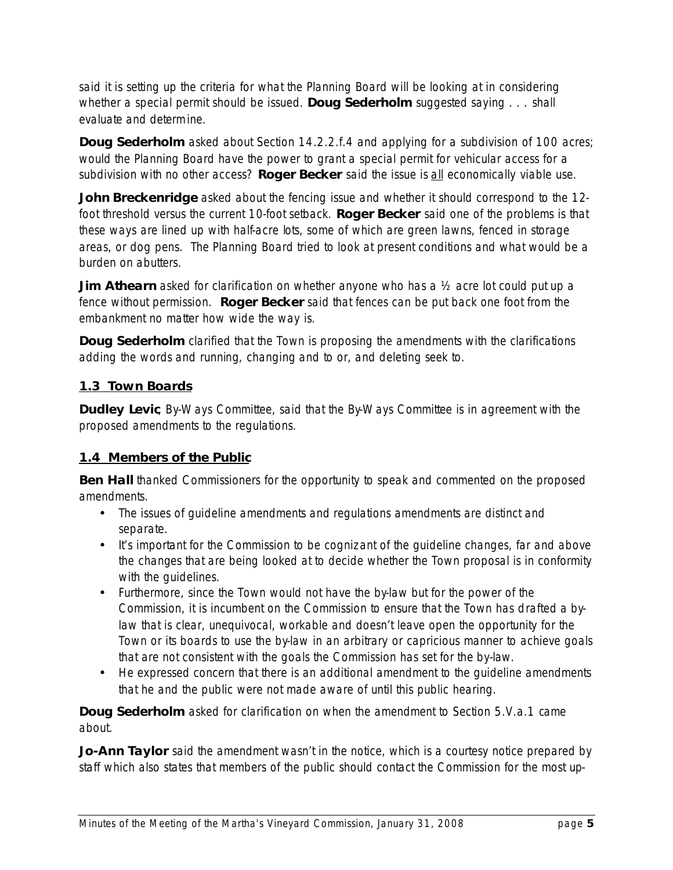said it is setting up the criteria for what the Planning Board will be looking at in considering whether a special permit should be issued. **Doug Sederholm** suggested saying . . . *shall evaluate and determine.*

**Doug Sederholm** asked about Section 14.2.2.f.4 and applying for a subdivision of 100 acres; would the Planning Board have the power to grant a special permit for vehicular access for a subdivision with no other access? Roger Becker said the issue is all economically viable use.

**John Breckenridge** asked about the fencing issue and whether it should correspond to the 12foot threshold versus the current 10-foot setback. **Roger Becker** said one of the problems is that these ways are lined up with half-acre lots, some of which are green lawns, fenced in storage areas, or dog pens. The Planning Board tried to look at present conditions and what would be a burden on abutters.

**Jim Athearn** asked for clarification on whether anyone who has a ½ acre lot could put up a fence without permission. **Roger Becker** said that fences can be put back one foot from the embankment no matter how wide the way is.

**Doug Sederholm** clarified that the Town is proposing the amendments with the clarifications adding the words *and running*, changing *and* to *or*, and deleting *seek to.*

## **1.3 Town Boards**

**Dudley Levic**, By Ways Committee, said that the By Ways Committee is in agreement with the proposed amendments to the regulations.

## **1.4 Members of the Public**

**Ben Hall** thanked Commissioners for the opportunity to speak and commented on the proposed amendments.

- The issues of guideline amendments and regulations amendments are distinct and separate.
- It's important for the Commission to be cognizant of the quideline changes, far and above the changes that are being looked at to decide whether the Town proposal is in conformity with the guidelines.
- Furthermore, since the Town would not have the by-law but for the power of the Commission, it is incumbent on the Commission to ensure that the Town has drafted a bylaw that is clear, unequivocal, workable and doesn't leave open the opportunity for the Town or its boards to use the by-law in an arbitrary or capricious manner to achieve goals that are not consistent with the goals the Commission has set for the by-law.
- He expressed concern that there is an additional amendment to the guideline amendments that he and the public were not made aware of until this public hearing.

**Doug Sederholm** asked for clarification on when the amendment to Section 5.V.a.1 came about.

**Jo-Ann Taylor** said the amendment wasn't in the notice, which is a courtesy notice prepared by staff which also states that members of the public should contact the Commission for the most up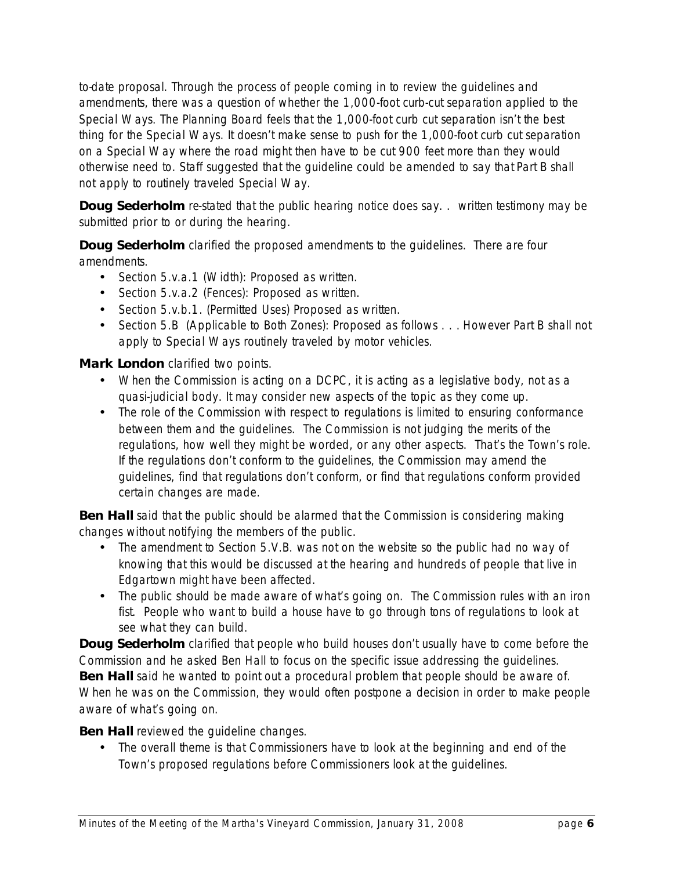to-date proposal. Through the process of people coming in to review the guidelines and amendments, there was a question of whether the 1,000-foot curb-cut separation applied to the Special Ways. The Planning Board feels that the 1,000-foot curb cut separation isn't the best thing for the Special Ways. It doesn't make sense to push for the 1,000-foot curb cut separation on a Special Way where the road might then have to be cut 900 feet more than they would otherwise need to. Staff suggested that the guideline could be amended to say that *Part B shall not apply to routinely traveled Special Way.*

**Doug Sederholm** re-stated that the public hearing notice does say. . *written testimony may be submitted prior to or during the hearing.*

**Doug Sederholm** clarified the proposed amendments to the guidelines. There are four amendments.

- Section 5.v.a.1 (Width): Proposed as written.
- Section 5.v.a.2 (Fences): Proposed as written.
- Section 5.v.b.1. (Permitted Uses) Proposed as written.
- Section 5.B (Applicable to Both Zones): Proposed as follows . . . *However Part B shall not apply to Special Ways routinely traveled by motor vehicles.*

#### **Mark London** clarified two points.

- When the Commission is acting on a DCPC, it is acting as a legislative body, not as a quasi-judicial body. It may consider new aspects of the topic as they come up.
- The role of the Commission with respect to regulations is limited to ensuring conformance between them and the guidelines. The Commission is not judging the merits of the regulations, how well they might be worded, or any other aspects. That's the Town's role. If the regulations don't conform to the guidelines, the Commission may amend the guidelines, find that regulations don't conform, or find that regulations conform provided certain changes are made.

**Ben Hall** said that the public should be alarmed that the Commission is considering making changes without notifying the members of the public.

- The amendment to Section 5.V.B. was not on the website so the public had no way of knowing that this would be discussed at the hearing and hundreds of people that live in Edgartown might have been affected.
- The public should be made aware of what's going on. The Commission rules with an iron fist. People who want to build a house have to go through tons of regulations to look at see what they can build.

**Doug Sederholm** clarified that people who build houses don't usually have to come before the Commission and he asked Ben Hall to focus on the specific issue addressing the guidelines. **Ben Hall** said he wanted to point out a procedural problem that people should be aware of. When he was on the Commission, they would often postpone a decision in order to make people aware of what's going on.

### **Ben Hall** reviewed the quideline changes.

• The overall theme is that Commissioners have to look at the beginning and end of the Town's proposed regulations before Commissioners look at the guidelines.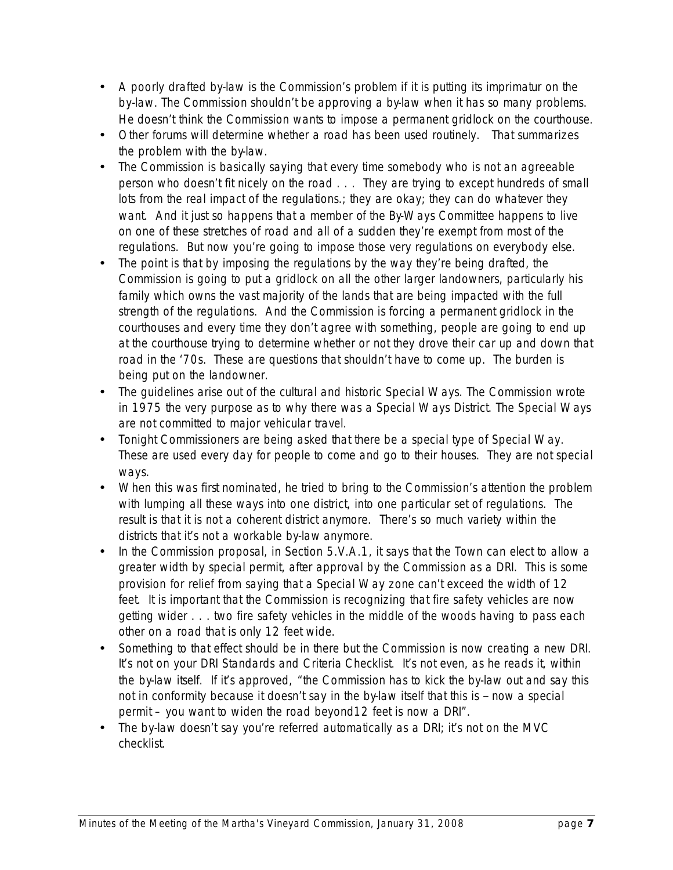- A poorly drafted by-law is the Commission's problem if it is putting its imprimatur on the by-law. The Commission shouldn't be approving a by-law when it has so many problems. He doesn't think the Commission wants to impose a permanent gridlock on the courthouse.
- Other forums will determine whether a road has been used routinely. That summarizes the problem with the bylaw.
- The Commission is basically saying that every time somebody who is not an agreeable person who doesn't fit nicely on the road . . . They are trying to except hundreds of small lots from the real impact of the regulations.; they are okay; they can do whatever they want. And it just so happens that a member of the ByWays Committee happens to live on one of these stretches of road and all of a sudden they're exempt from most of the regulations. But now you're going to impose those very regulations on everybody else.
- The point is that by imposing the regulations by the way they're being drafted, the Commission is going to put a gridlock on all the other larger landowners, particularly his family which owns the vast majority of the lands that are being impacted with the full strength of the regulations. And the Commission is forcing a permanent gridlock in the courthouses and every time they don't agree with something, people are going to end up at the courthouse trying to determine whether or not they drove their car up and down that road in the '70s. These are questions that shouldn't have to come up. The burden is being put on the landowner.
- The guidelines arise out of the cultural and historic Special Ways. The Commission wrote in 1975 the very purpose as to why there was a Special Ways District. The Special Ways are not committed to major vehicular travel.
- Tonight Commissioners are being asked that there be a special type of Special Way. These are used every day for people to come and go to their houses. They are not special ways.
- When this was first nominated, he tried to bring to the Commission's attention the problem with lumping all these ways into one district, into one particular set of regulations. The result is that it is not a coherent district anymore. There's so much variety within the districts that it's not a workable by-law anymore.
- In the Commission proposal, in Section 5.V.A.1, it says that the Town can elect to allow a greater width by special permit, after approval by the Commission as a DRI. This is some provision for relief from saying that a Special Way zone can't exceed the width of 12 feet. It is important that the Commission is recognizing that fire safety vehicles are now getting wider . . . two fire safety vehicles in the middle of the woods having to pass each other on a road that is only 12 feet wide.
- Something to that effect should be in there but the Commission is now creating a new DRI. It's not on your DRI Standards and Criteria Checklist. It's not even, as he reads it, within the by-law itself. If it's approved, "the Commission has to kick the by-law out and say this not in conformity because it doesn't say in the by-law itself that this is -- now a special permit – you want to widen the road beyond12 feet is now a DRI".
- The by-law doesn't say you're referred automatically as a DRI; it's not on the MVC checklist.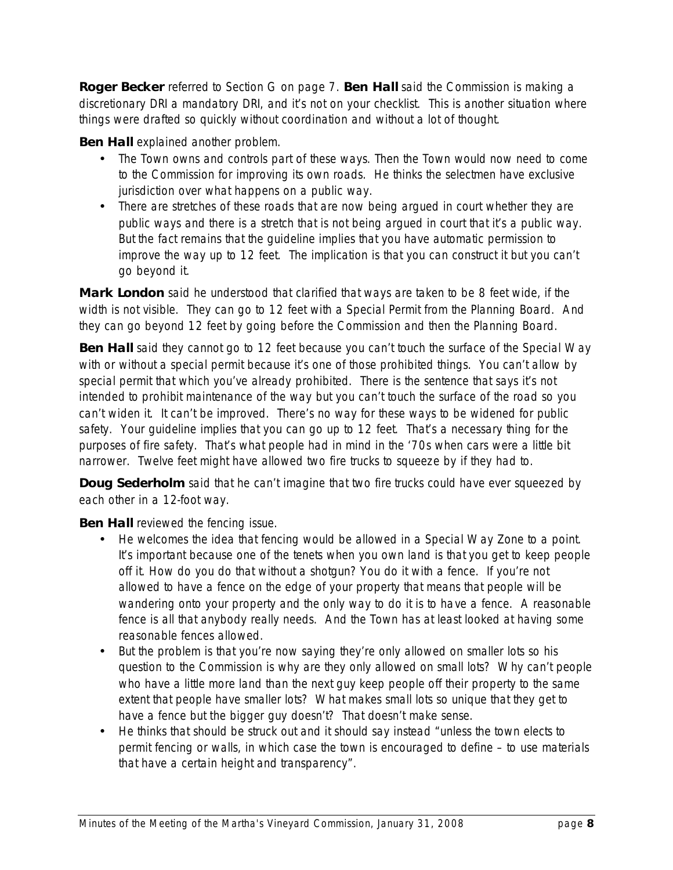**Roger Becker** referred to Section G on page 7. **Ben Hall** said the Commission is making a discretionary DRI a mandatory DRI, and it's not on your checklist. This is another situation where things were drafted so quickly without coordination and without a lot of thought.

**Ben Hall** explained another problem.

- The Town owns and controls part of these ways. Then the Town would now need to come to the Commission for improving its own roads. He thinks the selectmen have exclusive jurisdiction over what happens on a public way.
- There are stretches of these roads that are now being argued in court whether they are public ways and there is a stretch that is not being argued in court that it's a public way. But the fact remains that the guideline implies that you have automatic permission to improve the way up to 12 feet. The implication is that you can construct it but you can't go beyond it.

**Mark London** said he understood that clarified that ways are taken to be 8 feet wide, if the width is not visible. They can go to 12 feet with a Special Permit from the Planning Board. And they can go beyond 12 feet by going before the Commission and then the Planning Board.

**Ben Hall** said they cannot go to 12 feet because you can't touch the surface of the Special Way with or without a special permit because it's one of those prohibited things. You can't allow by special permit that which you've already prohibited. There is the sentence that says it's not intended to prohibit maintenance of the way but you can't touch the surface of the road so you can't widen it. It can't be improved. There's no way for these ways to be widened for public safety. Your guideline implies that you can go up to 12 feet. That's a necessary thing for the purposes of fire safety. That's what people had in mind in the '70s when cars were a little bit narrower. Twelve feet might have allowed two fire trucks to squeeze by if they had to.

**Doug Sederholm** said that he can't imagine that two fire trucks could have ever squeezed by each other in a 12-foot way.

**Ben Hall** reviewed the fencing issue.

- He welcomes the idea that fencing would be allowed in a Special Way Zone to a point. It's important because one of the tenets when you own land is that you get to keep people off it. How do you do that without a shotgun? You do it with a fence. If you're not allowed to have a fence on the edge of your property that means that people will be wandering onto your property and the only way to do it is to have a fence. A reasonable fence is all that anybody really needs. And the Town has at least looked at having some reasonable fences allowed.
- But the problem is that you're now saying they're only allowed on smaller lots so his question to the Commission is why are they only allowed on small lots? Why can't people who have a little more land than the next guy keep people off their property to the same extent that people have smaller lots? What makes small lots so unique that they get to have a fence but the bigger guy doesn't? That doesn't make sense.
- He thinks that should be struck out and it should say instead "unless the town elects to permit fencing or walls, in which case the town is encouraged to define – to use materials that have a certain height and transparency".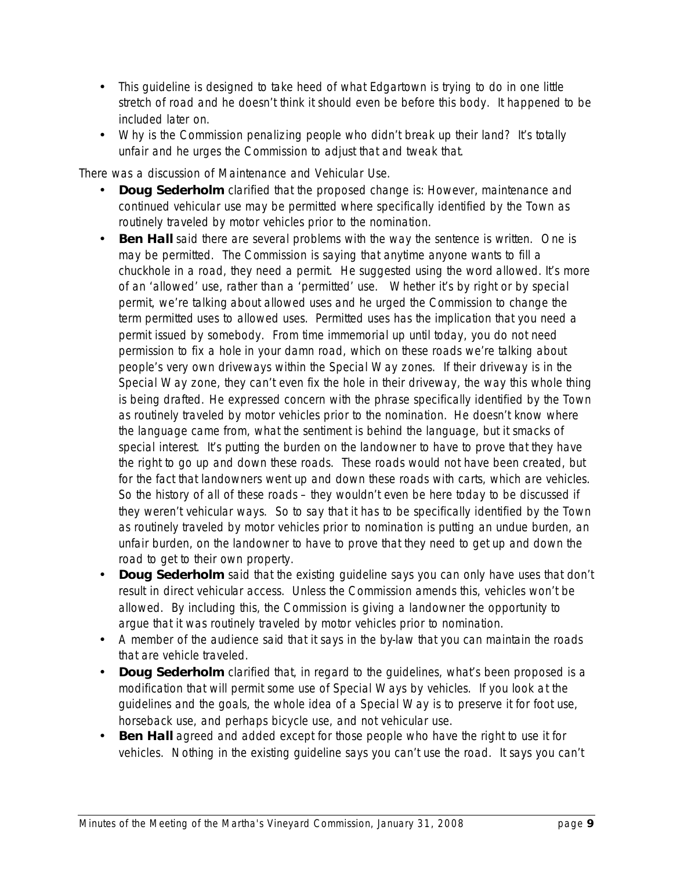- This quideline is designed to take heed of what Edgartown is trying to do in one little stretch of road and he doesn't think it should even be before this body. It happened to be included later on.
- Why is the Commission penalizing people who didn't break up their land? It's totally unfair and he urges the Commission to adjust that and tweak that.

There was a discussion of Maintenance and Vehicular Use.

- **Doug Sederholm** clarified that the proposed change is: *However, maintenance and continued vehicular use may be permitted where specifically identified by the Town as routinely traveled by motor vehicles prior to the nomination.*
- **Ben Hall** said there are several problems with the way the sentence is written. One is *may be permitted.* The Commission is saying that anytime anyone wants to fill a chuckhole in a road, they need a permit. He suggested using the word *allowed.* It's more of an 'allowed' use, rather than a 'permitted' use. Whether it's by right or by special permit, we're talking about allowed uses and he urged the Commission to change the term *permitted uses* to *allowed uses*. *Permitted uses* has the implication that you need a permit issued by somebody. From time immemorial up until today, you do not need permission to fix a hole in your damn road, which on these roads we're talking about people's very own driveways within the Special Way zones. If their driveway is in the Special Way zone, they can't even fix the hole in their driveway, the way this whole thing is being drafted. He expressed concern with the phrase *specifically identified by the Town as routinely traveled by motor vehicles prior to the nomination.* He doesn't know where the language came from, what the sentiment is behind the language, but it smacks of special interest. It's putting the burden on the landowner to have to prove that they have the right to go up and down these roads. These roads would not have been created, but for the fact that landowners went up and down these roads with carts, which are vehicles. So the history of all of these roads – they wouldn't even be here today to be discussed if they weren't vehicular ways. So to say that it has to be specifically identified by the Town as routinely traveled by motor vehicles prior to nomination is putting an undue burden, an unfair burden, on the landowner to have to prove that they need to get up and down the road to get to their own property.
- **Doug Sederholm** said that the existing guideline says you can only have uses that don't result in direct vehicular access. Unless the Commission amends this, vehicles won't be allowed. By including this, the Commission is giving a landowner the opportunity to argue that it was routinely traveled by motor vehicles prior to nomination.
- A member of the audience said that it says in the by-law that you can maintain the roads that are vehicle traveled.
- **Doug Sederholm** clarified that, in regard to the guidelines, what's been proposed is a modification that will permit some use of Special Ways by vehicles. If you look at the guidelines and the goals, the whole idea of a Special Way is to preserve it for foot use, horseback use, and perhaps bicycle use, and not vehicular use.
- **Ben Hall** agreed and added except for those people who have the right to use it for vehicles. Nothing in the existing guideline says you can't use the road. It says you can't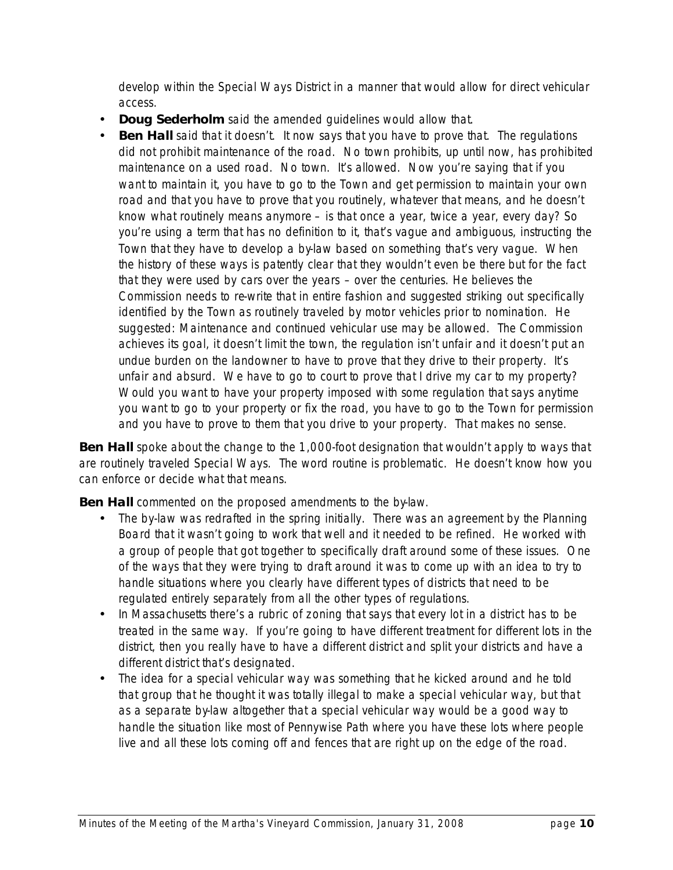develop within the Special Ways District in a manner that would allow for direct vehicular access.

- **Doug Sederholm** said the amended guidelines would allow that.
- **Ben Hall** said that it doesn't. It now says that you have to prove that. The regulations did not prohibit maintenance of the road. No town prohibits, up until now, has prohibited maintenance on a used road. No town. It's allowed. Now you're saying that if you want to maintain it, you have to go to the Town and get permission to maintain your own road and that you have to prove that you routinely, whatever that means, and he doesn't know what routinely means anymore – is that once a year, twice a year, every day? So you're using a term that has no definition to it, that's vague and ambiguous, instructing the Town that they have to develop a by-law based on something that's very vague. When the history of these ways is patently clear that they wouldn't even be there but for the fact that they were used by cars over the years – over the centuries. He believes the Commission needs to re-write that in entire fashion and suggested striking out *specifically identified by the Town as routinely traveled by motor vehicles prior to nomination.* He suggested: *Maintenance and continued vehicular use may be allowed.* The Commission achieves its goal, it doesn't limit the town, the regulation isn't unfair and it doesn't put an undue burden on the landowner to have to prove that they drive to their property. It's unfair and absurd. We have to go to court to prove that I drive my car to my property? Would you want to have your property imposed with some regulation that says anytime you want to go to your property or fix the road, you have to go to the Town for permission and you have to prove to them that you drive to your property. That makes no sense.

**Ben Hall** spoke about the change to the 1,000-foot designation that wouldn't apply to ways that are routinely traveled Special Ways. The word routine is problematic. He doesn't know how you can enforce or decide what that means.

**Ben Hall** commented on the proposed amendments to the by-law.

- The by-law was redrafted in the spring initially. There was an agreement by the Planning Board that it wasn't going to work that well and it needed to be refined. He worked with a group of people that got together to specifically draft around some of these issues. One of the ways that they were trying to draft around it was to come up with an idea to try to handle situations where you clearly have different types of districts that need to be regulated entirely separately from all the other types of regulations.
- In Massachusetts there's a rubric of zoning that says that every lot in a district has to be treated in the same way. If you're going to have different treatment for different lots in the district, then you really have to have a different district and split your districts and have a different district that's designated.
- The idea for a special vehicular way was something that he kicked around and he told that group that he thought it was totally illegal to make a special vehicular way, but that as a separate by law altogether that a special vehicular way would be a good way to handle the situation like most of Pennywise Path where you have these lots where people live and all these lots coming off and fences that are right up on the edge of the road.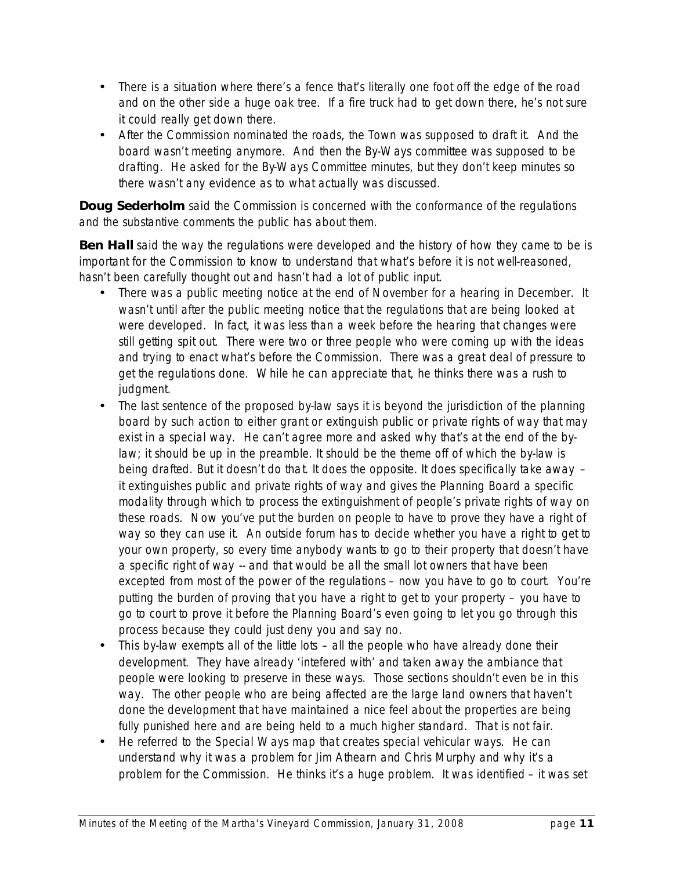- There is a situation where there's a fence that's literally one foot off the edge of the road and on the other side a huge oak tree. If a fire truck had to get down there, he's not sure it could really get down there.
- After the Commission nominated the roads, the Town was supposed to draft it. And the board wasn't meeting anymore. And then the By-Ways committee was supposed to be drafting. He asked for the By Ways Committee minutes, but they don't keep minutes so there wasn't any evidence as to what actually was discussed.

**Doug Sederholm** said the Commission is concerned with the conformance of the regulations and the substantive comments the public has about them.

**Ben Hall** said the way the regulations were developed and the history of how they came to be is important for the Commission to know to understand that what's before it is not well-reasoned, hasn't been carefully thought out and hasn't had a lot of public input.

- There was a public meeting notice at the end of November for a hearing in December. It wasn't until after the public meeting notice that the regulations that are being looked at were developed. In fact, it was less than a week before the hearing that changes were still getting spit out. There were two or three people who were coming up with the ideas and trying to enact what's before the Commission. There was a great deal of pressure to get the regulations done. While he can appreciate that, he thinks there was a rush to judgment.
- The last sentence of the proposed by-law says *it is beyond the jurisdiction of the planning board by such action to either grant or extinguish public or private rights of way that may exist in a special way.* He can't agree more and asked why that's at the end of the bylaw; it should be up in the preamble. It should be the theme off of which the by-law is being drafted. But it doesn't do that. It does the opposite. It does specifically take away – it extinguishes public and private rights of way and gives the Planning Board a specific modality through which to process the extinguishment of people's private rights of way on these roads. Now you've put the burden on people to have to prove they have a right of way so they can use it. An outside forum has to decide whether you have a right to get to your own property, so every time anybody wants to go to their property that doesn't have a specific right of way  $-$  and that would be all the small lot owners that have been excepted from most of the power of the regulations – now you have to go to court. You're putting the burden of proving that you have a right to get to your property – you have to go to court to prove it before the Planning Board's even going to let you go through this process because they could just deny you and say no.
- This by-law exempts all of the little lots all the people who have already done their development. They have already 'intefered with' and taken away the ambiance that people were looking to preserve in these ways. Those sections shouldn't even be in this way. The other people who are being affected are the large land owners that haven't done the development that have maintained a nice feel about the properties are being fully punished here and are being held to a much higher standard. That is not fair.
- He referred to the Special Ways map that creates special vehicular ways. He can understand why it was a problem for Jim Athearn and Chris Murphy and why it's a problem for the Commission. He thinks it's a huge problem. It was identified – it was set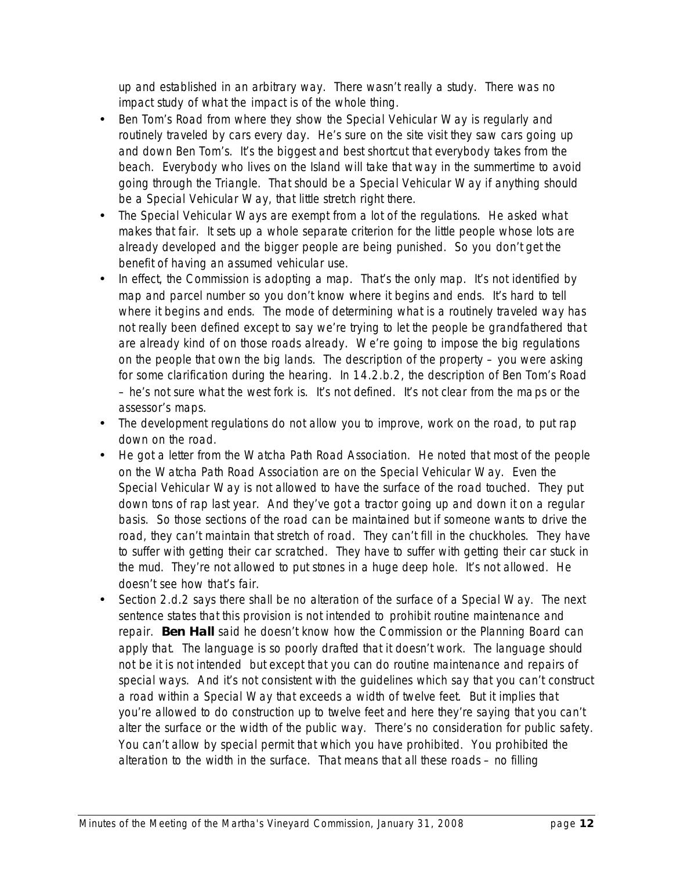up and established in an arbitrary way. There wasn't really a study. There was no impact study of what the impact is of the whole thing.

- Ben Tom's Road from where they show the Special Vehicular Way is regularly and routinely traveled by cars every day. He's sure on the site visit they saw cars going up and down Ben Tom's. It's the biggest and best shortcut that everybody takes from the beach. Everybody who lives on the Island will take that way in the summertime to avoid going through the Triangle. That should be a Special Vehicular Way if anything should be a Special Vehicular Way, that little stretch right there.
- The Special Vehicular Ways are exempt from a lot of the regulations. He asked what makes that fair. It sets up a whole separate criterion for the little people whose lots are already developed and the bigger people are being punished. So you don't get the benefit of having an assumed vehicular use.
- In effect, the Commission is adopting a map. That's the only map. It's not identified by map and parcel number so you don't know where it begins and ends. It's hard to tell where it begins and ends. The mode of determining what is a routinely traveled way has not really been defined except to say we're trying to let the people be grandfathered that are already kind of on those roads already. We're going to impose the big regulations on the people that own the big lands. The description of the property – you were asking for some clarification during the hearing. In 14.2.b.2, the description of Ben Tom's Road – he's not sure what the west fork is. It's not defined. It's not clear from the maps or the assessor's maps.
- The development regulations do not allow you to improve, work on the road, to put rap down on the road.
- He got a letter from the Watcha Path Road Association. He noted that most of the people on the Watcha Path Road Association are on the Special Vehicular Way. Even the Special Vehicular Way is not allowed to have the surface of the road touched. They put down tons of rap last year. And they've got a tractor going up and down it on a regular basis. So those sections of the road can be maintained but if someone wants to drive the road, they can't maintain that stretch of road. They can't fill in the chuckholes. They have to suffer with getting their car scratched. They have to suffer with getting their car stuck in the mud. They're not allowed to put stones in a huge deep hole. It's not allowed. He doesn't see how that's fair.
- Section 2.d.2 says there shall be no alteration of the surface of a Special Way. The next sentence states that this provision is not intended to prohibit routine maintenance and repair. **Ben Hall** said he doesn't know how the Commission or the Planning Board can apply that. The language is so poorly drafted that it doesn't work. The language should not be *it is not intended* but *except that you can do routine maintenance and repairs of special ways.* And it's not consistent with the guidelines which say that you can't construct a road within a Special Way that exceeds a width of twelve feet. But it implies that you're allowed to do construction up to twelve feet and here they're saying that you can't alter the surface or the width of the public way. There's no consideration for public safety. You can't allow by special permit that which you have prohibited. You prohibited the alteration to the width in the surface. That means that all these roads – no filling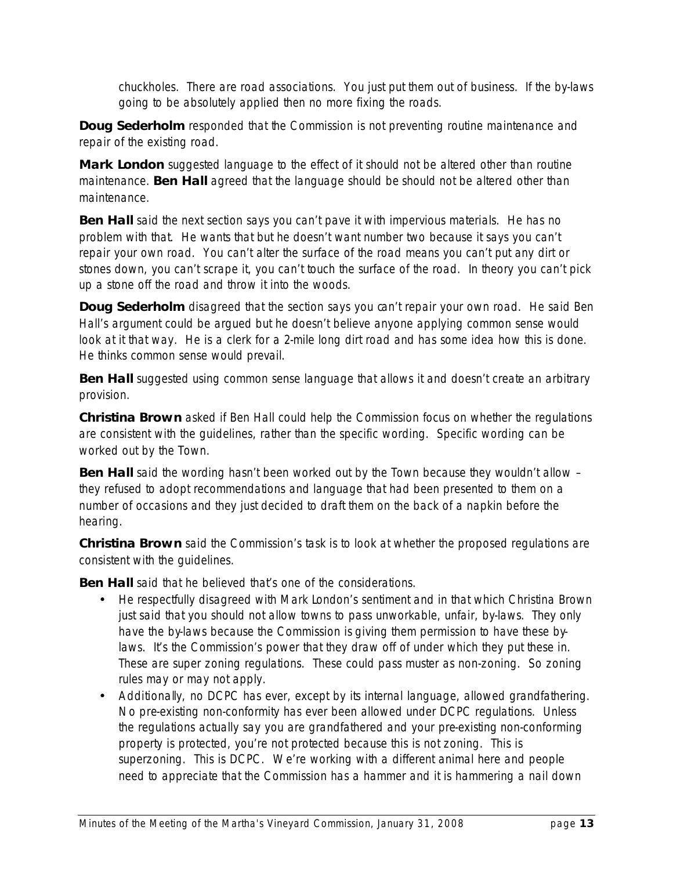chuckholes. There are road associations. You just put them out of business. If the by-laws going to be absolutely applied then no more fixing the roads.

**Doug Sederholm** responded that the Commission is not preventing routine maintenance and repair of the existing road.

**Mark London** suggested language to the effect of *it should not be altered other than routine maintenance.* **Ben Hall** agreed that the language should be *should not be altered other than maintenance.* 

**Ben Hall** said the next section says you can't pave it with impervious materials. He has no problem with that. He wants that but he doesn't want number two because it says you can't repair your own road. You can't alter the surface of the road means you can't put any dirt or stones down, you can't scrape it, you can't touch the surface of the road. In theory you can't pick up a stone off the road and throw it into the woods.

**Doug Sederholm** disagreed that the section says you can't repair your own road. He said Ben Hall's argument could be argued but he doesn't believe anyone applying common sense would look at it that way. He is a clerk for a 2-mile long dirt road and has some idea how this is done. He thinks common sense would prevail.

**Ben Hall** suggested using common sense language that allows it and doesn't create an arbitrary provision.

**Christina Brown** asked if Ben Hall could help the Commission focus on whether the regulations are consistent with the guidelines, rather than the specific wording. Specific wording can be worked out by the Town.

**Ben Hall** said the wording hasn't been worked out by the Town because they wouldn't allow – they refused to adopt recommendations and language that had been presented to them on a number of occasions and they just decided to draft them on the back of a napkin before the hearing.

**Christina Brown** said the Commission's task is to look at whether the proposed regulations are consistent with the guidelines.

**Ben Hall** said that he believed that's one of the considerations.

- He respectfully disagreed with Mark London's sentiment and in that which Christina Brown just said that you should not allow towns to pass unworkable, unfair, by-laws. They only have the by-laws because the Commission is giving them permission to have these bylaws. It's the Commission's power that they draw off of under which they put these in. These are super zoning regulations. These could pass muster as non-zoning. So zoning rules may or may not apply.
- Additionally, no DCPC has ever, except by its internal language, allowed grandfathering. No pre-existing non-conformity has ever been allowed under DCPC regulations. Unless the regulations actually say you are grandfathered and your pre-existing non-conforming property is protected, you're not protected because this is not zoning. This is superzoning. This is DCPC. We're working with a different animal here and people need to appreciate that the Commission has a hammer and it is hammering a nail down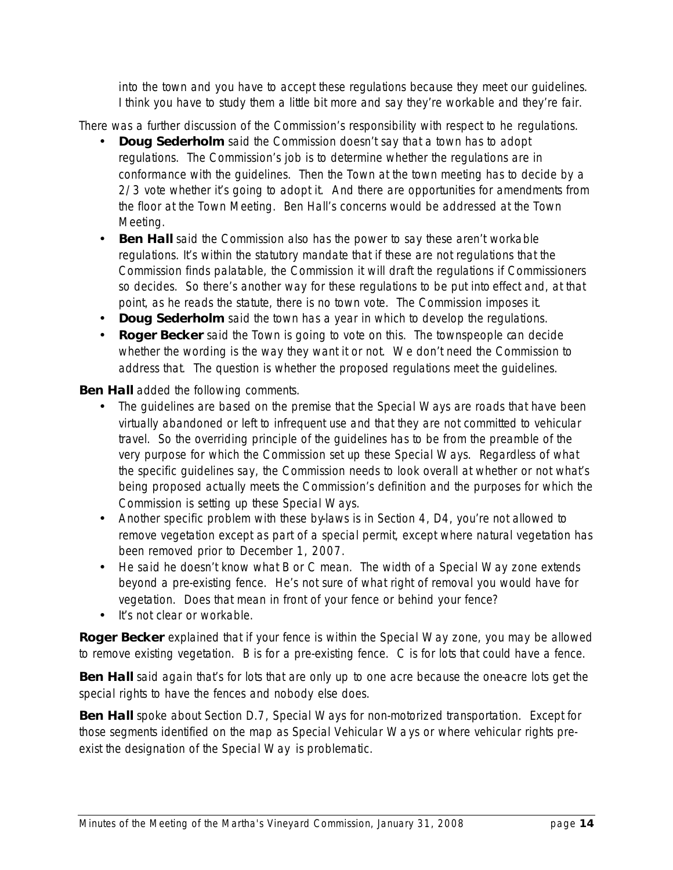into the town and you have to accept these regulations because they meet our guidelines. I think you have to study them a little bit more and say they're workable and they're fair.

There was a further discussion of the Commission's responsibility with respect to he regulations.

- **Doug Sederholm** said the Commission doesn't say that a town has to adopt regulations. The Commission's job is to determine whether the regulations are in conformance with the guidelines. Then the Town at the town meeting has to decide by a 2/3 vote whether it's going to adopt it. And there are opportunities for amendments from the floor at the Town Meeting. Ben Hall's concerns would be addressed at the Town Meeting.
- **Ben Hall** said the Commission also has the power to say these aren't workable regulations. It's within the statutory mandate that if these are not regulations that the Commission finds palatable, the Commission it will draft the regulations if Commissioners so decides. So there's another way for these regulations to be put into effect and, at that point, as he reads the statute, there is no town vote. The Commission imposes it.
- **Doug Sederholm** said the town has a year in which to develop the regulations.
- **Roger Becker** said the Town is going to vote on this. The townspeople can decide whether the wording is the way they want it or not. We don't need the Commission to address that. The question is whether the proposed regulations meet the guidelines.

**Ben Hall** added the following comments.

- The guidelines are based on the premise that the Special Ways are roads that have been virtually abandoned or left to infrequent use and that they are not committed to vehicular travel. So the overriding principle of the guidelines has to be from the preamble of the very purpose for which the Commission set up these Special Ways. Regardless of what the specific guidelines say, the Commission needs to look overall at whether or not what's being proposed actually meets the Commission's definition and the purposes for which the Commission is setting up these Special Ways.
- Another specific problem with these by laws is in Section 4, D4, you're not allowed to remove vegetation except as part of a special permit, except where natural vegetation has been removed prior to December 1, 2007.
- He said he doesn't know what B or C mean. The width of a Special Way zone extends beyond a pre-existing fence. He's not sure of what right of removal you would have for vegetation. Does that mean in front of your fence or behind your fence?
- It's not clear or workable.

**Roger Becker** explained that if your fence is within the Special Way zone, you may be allowed to remove existing vegetation. B is for a pre-existing fence. C is for lots that could have a fence.

**Ben Hall** said again that's for lots that are only up to one acre because the one-acre lots get the special rights to have the fences and nobody else does.

**Ben Hall** spoke about Section D.7, Special Ways for non-motorized transportation. *Except for those segments identified on the map as Special Vehicular Ways or where vehicular rights preexist the designation of the Special Way* is problematic.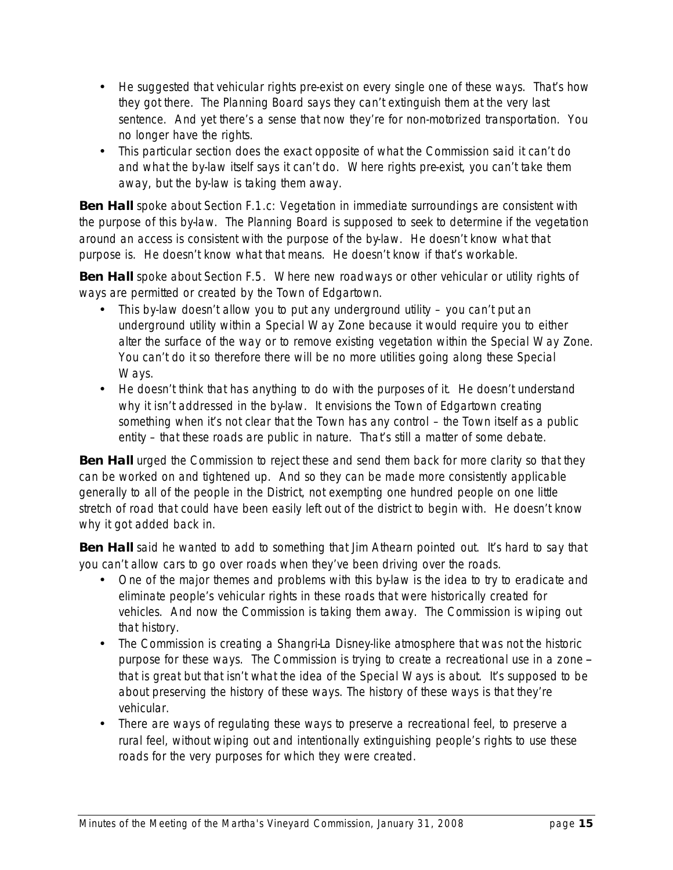- He suggested that vehicular rights pre-exist on every single one of these ways. That's how they got there. The Planning Board says they can't extinguish them at the very last sentence. And yet there's a sense that now they're for non-motorized transportation. You no longer have the rights.
- This particular section does the exact opposite of what the Commission said it can't do and what the by-law itself says it can't do. Where rights pre-exist, you can't take them away, but the by-law is taking them away.

**Ben Hall** spoke about Section F.1.c: *Vegetation in immediate surroundings are consistent with the purpose of this by-law*. The Planning Board is supposed to seek to determine if the vegetation around an access is consistent with the purpose of the by-law. He doesn't know what that purpose is. He doesn't know what that means. He doesn't know if that's workable.

**Ben Hall** spoke about Section F.5. *Where new roadways or other vehicular or utility rights of ways are permitted or created by the Town of Edgartown.* 

- This by-law doesn't allow you to put any underground utility you can't put an underground utility within a Special Way Zone because it would require you to either alter the surface of the way or to remove existing vegetation within the Special Way Zone. You can't do it so therefore there will be no more utilities going along these Special Ways.
- He doesn't think that has anything to do with the purposes of it. He doesn't understand why it isn't addressed in the by-law. It envisions the Town of Edgartown creating something when it's not clear that the Town has any control – the Town itself as a public entity – that these roads are public in nature. That's still a matter of some debate.

**Ben Hall** urged the Commission to reject these and send them back for more clarity so that they can be worked on and tightened up. And so they can be made more consistently applicable generally to all of the people in the District, not exempting one hundred people on one little stretch of road that could have been easily left out of the district to begin with. He doesn't know why it got added back in.

**Ben Hall** said he wanted to add to something that Jim Athearn pointed out. It's hard to say that you can't allow cars to go over roads when they've been driving over the roads.

- One of the major themes and problems with this by law is the idea to try to eradicate and eliminate people's vehicular rights in these roads that were historically created for vehicles. And now the Commission is taking them away. The Commission is wiping out that history.
- The Commission is creating a Shangri-La Disney-like atmosphere that was not the historic purpose for these ways. The Commission is trying to create a recreational use in a zone -that is great but that isn't what the idea of the Special Ways is about. It's supposed to be about preserving the history of these ways. The history of these ways is that they're vehicular.
- There are ways of regulating these ways to preserve a recreational feel, to preserve a rural feel, without wiping out and intentionally extinguishing people's rights to use these roads for the very purposes for which they were created.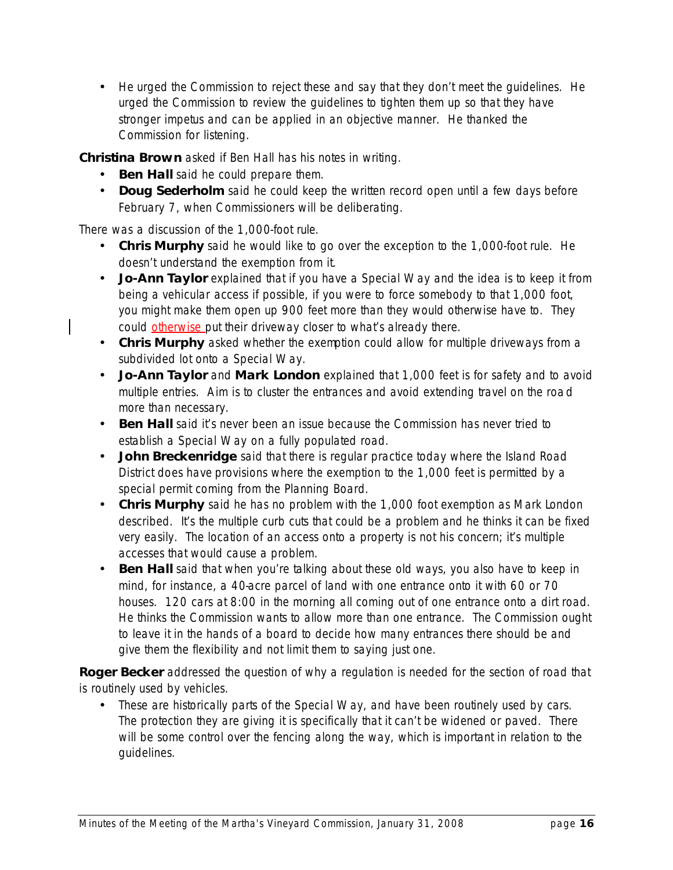• He urged the Commission to reject these and say that they don't meet the quidelines. He urged the Commission to review the guidelines to tighten them up so that they have stronger impetus and can be applied in an objective manner. He thanked the Commission for listening.

**Christina Brown** asked if Ben Hall has his notes in writing.

- **Ben Hall** said he could prepare them.
- **Doug Sederholm** said he could keep the written record open until a few days before February 7, when Commissioners will be deliberating.

There was a discussion of the 1,000-foot rule.

- **Chris Murphy** said he would like to go over the exception to the 1,000-foot rule. He doesn't understand the exemption from it.
- **Jo-Ann Taylor** explained that if you have a Special Way and the idea is to keep it from being a vehicular access if possible, if you were to force somebody to that 1,000 foot, you might make them open up 900 feet more than they would otherwise have to. They could otherwise put their driveway closer to what's already there.
- **Chris Murphy** asked whether the exemption could allow for multiple driveways from a subdivided lot onto a Special Way.
- **Jo-Ann Taylor** and **Mark London** explained that 1,000 feet is for safety and to avoid multiple entries. Aim is to cluster the entrances and avoid extending travel on the road more than necessary.
- **Ben Hall** said it's never been an issue because the Commission has never tried to establish a Special Way on a fully populated road.
- **John Breckenridge** said that there is regular practice today where the Island Road District does have provisions where the exemption to the 1,000 feet is permitted by a special permit coming from the Planning Board.
- **Chris Murphy** said he has no problem with the 1,000 foot exemption as Mark London described. It's the multiple curb cuts that could be a problem and he thinks it can be fixed very easily. The location of an access onto a property is not his concern; it's multiple accesses that would cause a problem.
- **Ben Hall** said that when you're talking about these old ways, you also have to keep in mind, for instance, a 40-acre parcel of land with one entrance onto it with 60 or 70 houses. 120 cars at 8:00 in the morning all coming out of one entrance onto a dirt road. He thinks the Commission wants to allow more than one entrance. The Commission ought to leave it in the hands of a board to decide how many entrances there should be and give them the flexibility and not limit them to saying just one.

**Roger Becker** addressed the question of why a regulation is needed for the section of road that is routinely used by vehicles.

• These are historically parts of the Special Way, and have been routinely used by cars. The protection they are giving it is specifically that it can't be widened or paved. There will be some control over the fencing along the way, which is important in relation to the guidelines.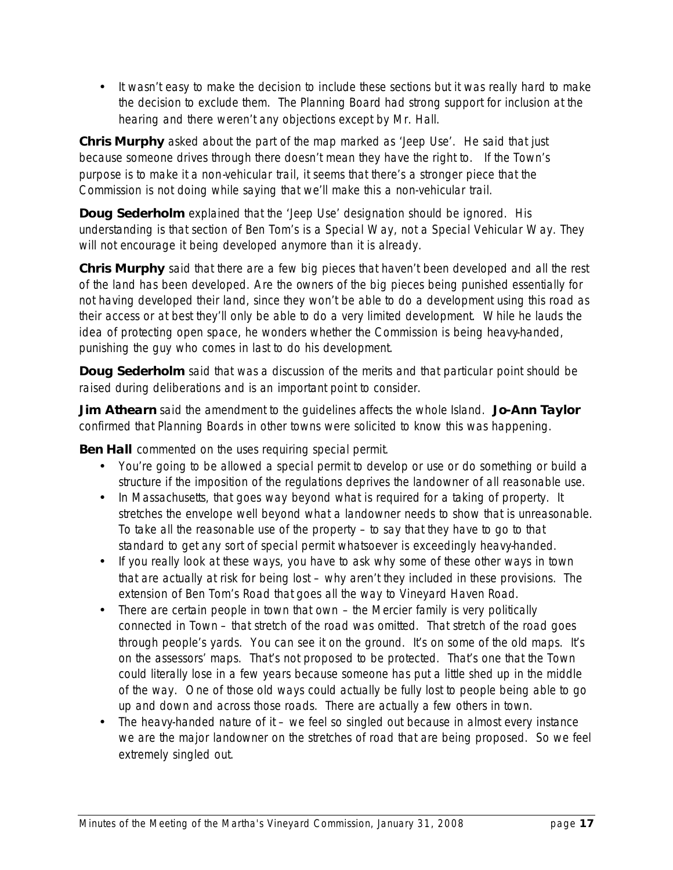• It wasn't easy to make the decision to include these sections but it was really hard to make the decision to exclude them. The Planning Board had strong support for inclusion at the hearing and there weren't any objections except by Mr. Hall.

**Chris Murphy** asked about the part of the map marked as 'Jeep Use'. He said that just because someone drives through there doesn't mean they have the right to. If the Town's purpose is to make it a non-vehicular trail, it seems that there's a stronger piece that the Commission is not doing while saying that we'll make this a non-vehicular trail.

**Doug Sederholm** explained that the 'Jeep Use' designation should be ignored. His understanding is that section of Ben Tom's is a Special Way, not a Special Vehicular Way. They will not encourage it being developed anymore than it is already.

**Chris Murphy** said that there are a few big pieces that haven't been developed and all the rest of the land has been developed. Are the owners of the big pieces being punished essentially for not having developed their land, since they won't be able to do a development using this road as their access or at best they'll only be able to do a very limited development. While he lauds the idea of protecting open space, he wonders whether the Commission is being heavy-handed, punishing the guy who comes in last to do his development.

**Doug Sederholm** said that was a discussion of the merits and that particular point should be raised during deliberations and is an important point to consider.

**Jim Athearn** said the amendment to the guidelines affects the whole Island. **Jo-Ann Taylor**  confirmed that Planning Boards in other towns were solicited to know this was happening.

**Ben Hall** commented on the uses requiring special permit.

- You're going to be allowed a special permit to develop or use or do something or build a structure if the imposition of the regulations deprives the landowner of all reasonable use.
- In Massachusetts, that goes way beyond what is required for a taking of property. It stretches the envelope well beyond what a landowner needs to show that is unreasonable. To take all the reasonable use of the property – to say that they have to go to that standard to get any sort of special permit whatsoever is exceedingly heavy-handed.
- If you really look at these ways, you have to ask why some of these other ways in town that are actually at risk for being lost – why aren't they included in these provisions. The extension of Ben Tom's Road that goes all the way to Vineyard Haven Road.
- There are certain people in town that own the Mercier family is very politically connected in Town – that stretch of the road was omitted. That stretch of the road goes through people's yards. You can see it on the ground. It's on some of the old maps. It's on the assessors' maps. That's not proposed to be protected. That's one that the Town could literally lose in a few years because someone has put a little shed up in the middle of the way. One of those old ways could actually be fully lost to people being able to go up and down and across those roads. There are actually a few others in town.
- The heavy-handed nature of it we feel so singled out because in almost every instance we are the major landowner on the stretches of road that are being proposed. So we feel extremely singled out.